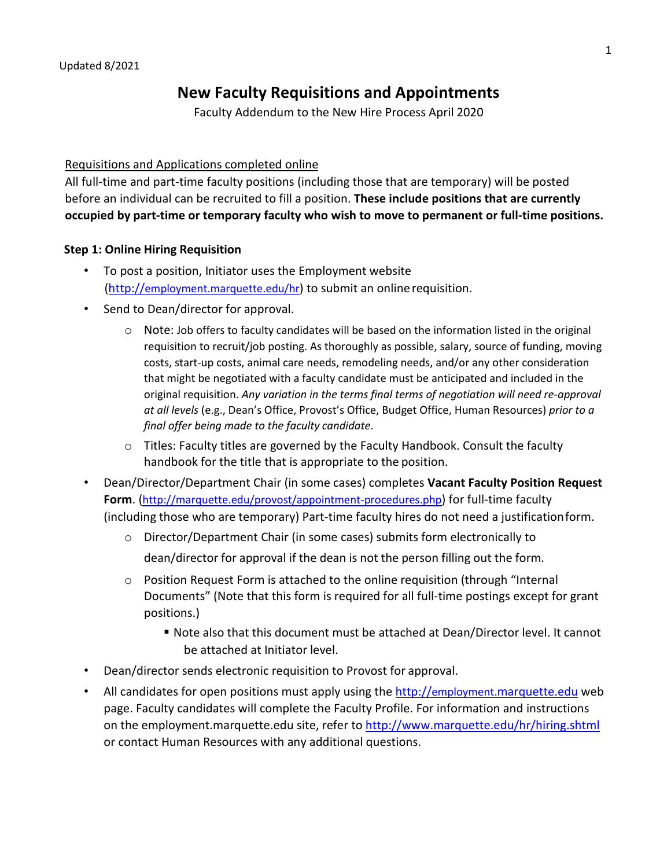# **New Faculty Requisitions and Appointments**

Faculty Addendum to the New Hire Process April 2020

#### Requisitions and Applications completed online

All full-time and part-time faculty positions (including those that are temporary) will be posted before an individual can be recruited to fill a position. **These include positions that are currently occupied by part-time or temporary faculty who wish to move to permanent or full-time positions.**

#### **Step 1: Online Hiring Requisition**

- To post a position, Initiator uses the Employment websit[e](http://employment.marquette.edu/hr) [\(http://employment.marquette.edu/hr\) t](http://employment.marquette.edu/hr)o submit an onlinerequisition.
- Send to Dean/director for approval.
	- o Note: Job offers to faculty candidates will be based on the information listed in the original requisition to recruit/job posting. As thoroughly as possible, salary, source of funding, moving costs, start-up costs, animal care needs, remodeling needs, and/or any other consideration that might be negotiated with a faculty candidate must be anticipated and included in the original requisition. *Any variation in the terms final terms of negotiation will need re-approval at all levels* (e.g., Dean's Office, Provost's Office, Budget Office, Human Resources) *prior to a final offer being made to the faculty candidate*.
	- o Titles: Faculty titles are governed by the Faculty Handbook. Consult the faculty handbook for the title that is appropriate to the position.
- Dean/Director/Department Chair (in some cases) completes **Vacant Faculty Position Request Form**. [\(http://marquette.edu/provost/appointment-procedures.php\) f](http://marquette.edu/provost/appointment-procedures.php)or full-time faculty (including those who are temporary) Part-time faculty hires do not need a justificationform.
	- o Director/Department Chair (in some cases) submits form electronically to

dean/director for approval if the dean is not the person filling out the form.

- $\circ$  Position Request Form is attached to the online requisition (through "Internal Documents" (Note that this form is required for all full-time postings except for grant positions.)
	- Note also that this document must be attached at Dean/Director level. It cannot be attached at Initiator level.
- Dean/director sends electronic requisition to Provost for approval.
- All candidates for open positions must apply using the [http://employment.marquette.edu](http://employment.marquette.edu/) web page. Faculty candidates will complete the Faculty Profile. For information and instructions on the employment.marquette.edu site, refer to <http://www.marquette.edu/hr/hiring.shtml> or contact Human Resources with any additional questions.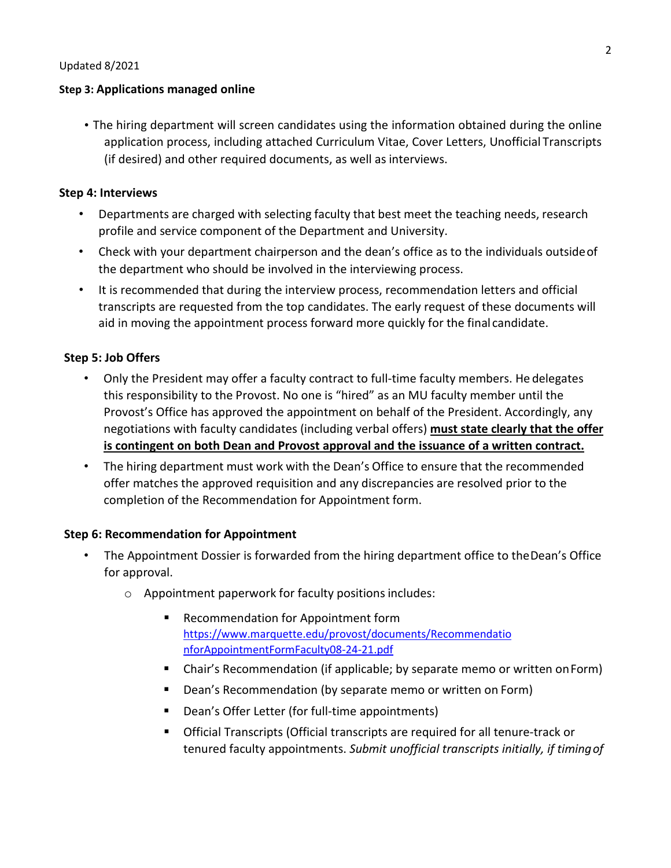#### **Step 3: Applications managed online**

• The hiring department will screen candidates using the information obtained during the online application process, including attached Curriculum Vitae, Cover Letters, Unofficial Transcripts (if desired) and other required documents, as well as interviews.

#### **Step 4: Interviews**

- Departments are charged with selecting faculty that best meet the teaching needs, research profile and service component of the Department and University.
- Check with your department chairperson and the dean's office as to the individuals outsideof the department who should be involved in the interviewing process.
- It is recommended that during the interview process, recommendation letters and official transcripts are requested from the top candidates. The early request of these documents will aid in moving the appointment process forward more quickly for the final candidate.

# **Step 5: Job Offers**

- Only the President may offer a faculty contract to full-time faculty members. He delegates this responsibility to the Provost. No one is "hired" as an MU faculty member until the Provost's Office has approved the appointment on behalf of the President. Accordingly, any negotiations with faculty candidates (including verbal offers) **must state clearly that the offer is contingent on both Dean and Provost approval and the issuance of a written contract.**
- The hiring department must work with the Dean's Office to ensure that the recommended offer matches the approved requisition and any discrepancies are resolved prior to the completion of the Recommendation for Appointment form.

# **Step 6: Recommendation for Appointment**

- The Appointment Dossier is forwarded from the hiring department office to theDean's Office for approval.
	- o Appointment paperwork for faculty positions includes:
		- Recommendation for Appointment form [https://www.marquette.edu/provost/documents/Recommendatio](https://www.marquette.edu/provost/documents/RecommendationforAppointmentFormFaculty08-24-21.pdf) [nforAppointmentFormFaculty08-24-21.pdf](https://www.marquette.edu/provost/documents/RecommendationforAppointmentFormFaculty08-24-21.pdf)
		- Chair's Recommendation (if applicable; by separate memo or written on Form)
		- **Dean's Recommendation (by separate memo or written on Form)**
		- **Dean's Offer Letter (for full-time appointments)**
		- Official Transcripts (Official transcripts are required for all tenure-track or tenured faculty appointments. *Submit unofficial transcripts initially, if timingof*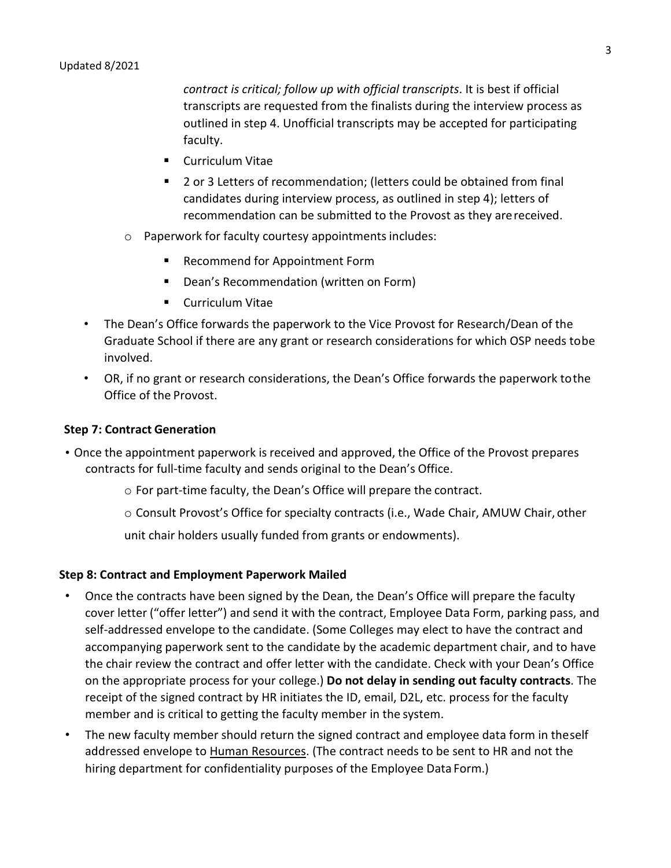*contract is critical; follow up with official transcripts*. It is best if official transcripts are requested from the finalists during the interview process as outlined in step 4. Unofficial transcripts may be accepted for participating faculty.

- **Curriculum Vitae**
- 2 or 3 Letters of recommendation; (letters could be obtained from final candidates during interview process, as outlined in step 4); letters of recommendation can be submitted to the Provost as they arereceived.
- o Paperwork for faculty courtesy appointments includes:
	- **Recommend for Appointment Form**
	- **Dean's Recommendation (written on Form)**
	- **E** Curriculum Vitae
- The Dean's Office forwards the paperwork to the Vice Provost for Research/Dean of the Graduate School if there are any grant or research considerations for which OSP needs tobe involved.
- OR, if no grant or research considerations, the Dean's Office forwards the paperwork tothe Office of the Provost.

# **Step 7: Contract Generation**

- Once the appointment paperwork is received and approved, the Office of the Provost prepares contracts for full-time faculty and sends original to the Dean's Office.
	- o For part-time faculty, the Dean's Office will prepare the contract.
	- o Consult Provost's Office for specialty contracts (i.e., Wade Chair, AMUW Chair, other

unit chair holders usually funded from grants or endowments).

# **Step 8: Contract and Employment Paperwork Mailed**

- Once the contracts have been signed by the Dean, the Dean's Office will prepare the faculty cover letter ("offer letter") and send it with the contract, Employee Data Form, parking pass, and self-addressed envelope to the candidate. (Some Colleges may elect to have the contract and accompanying paperwork sent to the candidate by the academic department chair, and to have the chair review the contract and offer letter with the candidate. Check with your Dean's Office on the appropriate process for your college.) **Do not delay in sending out faculty contracts**. The receipt of the signed contract by HR initiates the ID, email, D2L, etc. process for the faculty member and is critical to getting the faculty member in the system.
- The new faculty member should return the signed contract and employee data form in theself addressed envelope to Human Resources. (The contract needs to be sent to HR and not the hiring department for confidentiality purposes of the Employee Data Form.)